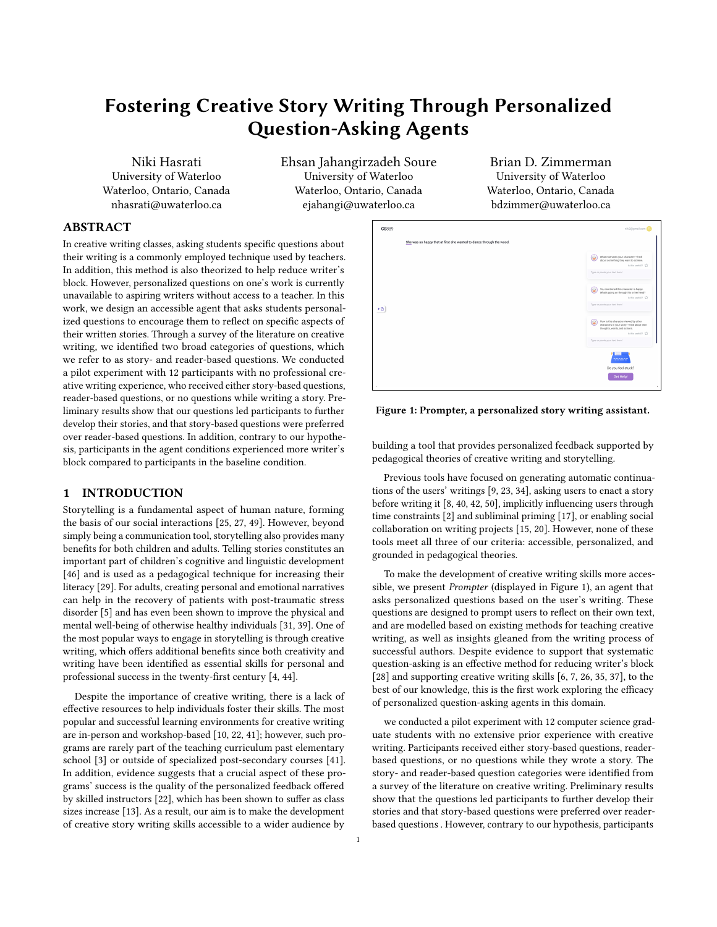# Fostering Creative Story Writing Through Personalized Question-Asking Agents

Niki Hasrati University of Waterloo Waterloo, Ontario, Canada nhasrati@uwaterloo.ca

Ehsan Jahangirzadeh Soure University of Waterloo Waterloo, Ontario, Canada ejahangi@uwaterloo.ca

Brian D. Zimmerman University of Waterloo Waterloo, Ontario, Canada bdzimmer@uwaterloo.ca

# ABSTRACT

In creative writing classes, asking students specific questions about their writing is a commonly employed technique used by teachers. In addition, this method is also theorized to help reduce writer's block. However, personalized questions on one's work is currently unavailable to aspiring writers without access to a teacher. In this work, we design an accessible agent that asks students personalized questions to encourage them to reflect on specific aspects of their written stories. Through a survey of the literature on creative writing, we identified two broad categories of questions, which we refer to as story- and reader-based questions. We conducted a pilot experiment with 12 participants with no professional creative writing experience, who received either story-based questions, reader-based questions, or no questions while writing a story. Preliminary results show that our questions led participants to further develop their stories, and that story-based questions were preferred over reader-based questions. In addition, contrary to our hypothesis, participants in the agent conditions experienced more writer's block compared to participants in the baseline condition.

# 1 INTRODUCTION

Storytelling is a fundamental aspect of human nature, forming the basis of our social interactions [\[25,](#page-11-0) [27,](#page-11-1) [49\]](#page-11-2). However, beyond simply being a communication tool, storytelling also provides many benefits for both children and adults. Telling stories constitutes an important part of children's cognitive and linguistic development [\[46\]](#page-11-3) and is used as a pedagogical technique for increasing their literacy [\[29\]](#page-11-4). For adults, creating personal and emotional narratives can help in the recovery of patients with post-traumatic stress disorder [\[5\]](#page-11-5) and has even been shown to improve the physical and mental well-being of otherwise healthy individuals [\[31,](#page-11-6) [39\]](#page-11-7). One of the most popular ways to engage in storytelling is through creative writing, which offers additional benefits since both creativity and writing have been identified as essential skills for personal and professional success in the twenty-first century [\[4,](#page-11-8) [44\]](#page-11-9).

Despite the importance of creative writing, there is a lack of effective resources to help individuals foster their skills. The most popular and successful learning environments for creative writing are in-person and workshop-based [\[10,](#page-11-10) [22,](#page-11-11) [41\]](#page-11-12); however, such programs are rarely part of the teaching curriculum past elementary school [\[3\]](#page-11-13) or outside of specialized post-secondary courses [\[41\]](#page-11-12). In addition, evidence suggests that a crucial aspect of these programs' success is the quality of the personalized feedback offered by skilled instructors [\[22\]](#page-11-11), which has been shown to suffer as class sizes increase [\[13\]](#page-11-14). As a result, our aim is to make the development of creative story writing skills accessible to a wider audience by

<span id="page-0-0"></span>

Figure 1: Prompter, a personalized story writing assistant.

building a tool that provides personalized feedback supported by pedagogical theories of creative writing and storytelling.

Previous tools have focused on generating automatic continuations of the users' writings [\[9,](#page-11-15) [23,](#page-11-16) [34\]](#page-11-17), asking users to enact a story before writing it [\[8,](#page-11-18) [40,](#page-11-19) [42,](#page-11-20) [50\]](#page-11-21), implicitly influencing users through time constraints [\[2\]](#page-11-22) and subliminal priming [\[17\]](#page-11-23), or enabling social collaboration on writing projects [\[15,](#page-11-24) [20\]](#page-11-25). However, none of these tools meet all three of our criteria: accessible, personalized, and grounded in pedagogical theories.

To make the development of creative writing skills more accessible, we present Prompter (displayed in [Figure 1\)](#page-0-0), an agent that asks personalized questions based on the user's writing. These questions are designed to prompt users to reflect on their own text, and are modelled based on existing methods for teaching creative writing, as well as insights gleaned from the writing process of successful authors. Despite evidence to support that systematic question-asking is an effective method for reducing writer's block [\[28\]](#page-11-26) and supporting creative writing skills [\[6,](#page-11-27) [7,](#page-11-28) [26,](#page-11-29) [35,](#page-11-30) [37\]](#page-11-31), to the best of our knowledge, this is the first work exploring the efficacy of personalized question-asking agents in this domain.

we conducted a pilot experiment with 12 computer science graduate students with no extensive prior experience with creative writing. Participants received either story-based questions, readerbased questions, or no questions while they wrote a story. The story- and reader-based question categories were identified from a survey of the literature on creative writing. Preliminary results show that the questions led participants to further develop their stories and that story-based questions were preferred over readerbased questions . However, contrary to our hypothesis, participants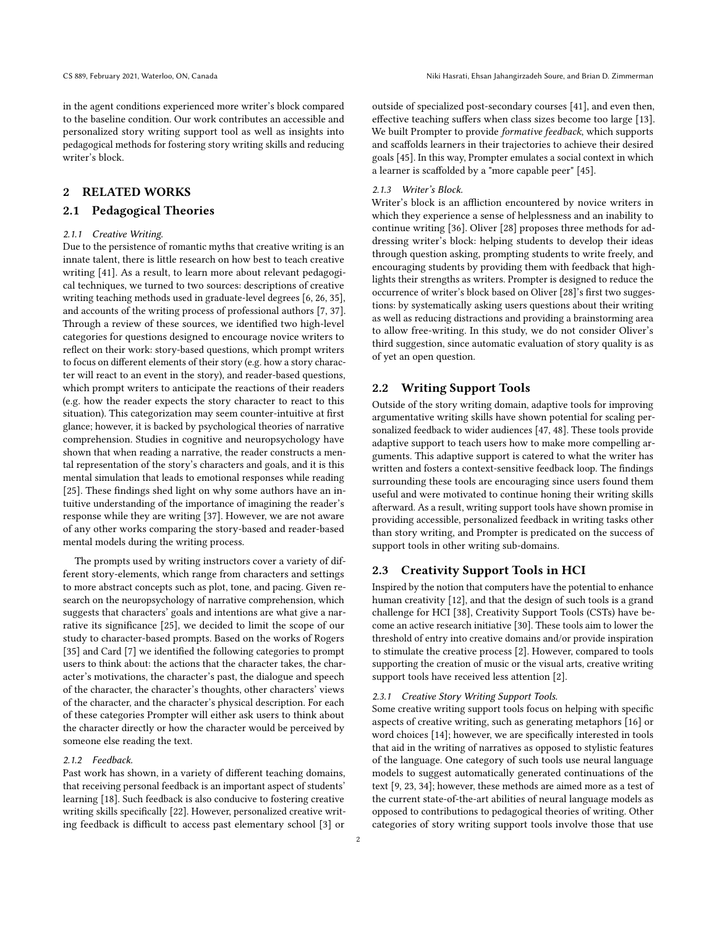in the agent conditions experienced more writer's block compared to the baseline condition. Our work contributes an accessible and personalized story writing support tool as well as insights into pedagogical methods for fostering story writing skills and reducing writer's block.

# 2 RELATED WORKS

# 2.1 Pedagogical Theories

#### 2.1.1 Creative Writing.

Due to the persistence of romantic myths that creative writing is an innate talent, there is little research on how best to teach creative writing [\[41\]](#page-11-12). As a result, to learn more about relevant pedagogical techniques, we turned to two sources: descriptions of creative writing teaching methods used in graduate-level degrees [\[6,](#page-11-27) [26,](#page-11-29) [35\]](#page-11-30), and accounts of the writing process of professional authors [\[7,](#page-11-28) [37\]](#page-11-31). Through a review of these sources, we identified two high-level categories for questions designed to encourage novice writers to reflect on their work: story-based questions, which prompt writers to focus on different elements of their story (e.g. how a story character will react to an event in the story), and reader-based questions, which prompt writers to anticipate the reactions of their readers (e.g. how the reader expects the story character to react to this situation). This categorization may seem counter-intuitive at first glance; however, it is backed by psychological theories of narrative comprehension. Studies in cognitive and neuropsychology have shown that when reading a narrative, the reader constructs a mental representation of the story's characters and goals, and it is this mental simulation that leads to emotional responses while reading [\[25\]](#page-11-0). These findings shed light on why some authors have an intuitive understanding of the importance of imagining the reader's response while they are writing [\[37\]](#page-11-31). However, we are not aware of any other works comparing the story-based and reader-based mental models during the writing process.

The prompts used by writing instructors cover a variety of different story-elements, which range from characters and settings to more abstract concepts such as plot, tone, and pacing. Given research on the neuropsychology of narrative comprehension, which suggests that characters' goals and intentions are what give a narrative its significance [\[25\]](#page-11-0), we decided to limit the scope of our study to character-based prompts. Based on the works of Rogers [\[35\]](#page-11-30) and Card [\[7\]](#page-11-28) we identified the following categories to prompt users to think about: the actions that the character takes, the character's motivations, the character's past, the dialogue and speech of the character, the character's thoughts, other characters' views of the character, and the character's physical description. For each of these categories Prompter will either ask users to think about the character directly or how the character would be perceived by someone else reading the text.

# 2.1.2 Feedback.

Past work has shown, in a variety of different teaching domains, that receiving personal feedback is an important aspect of students' learning [\[18\]](#page-11-32). Such feedback is also conducive to fostering creative writing skills specifically [\[22\]](#page-11-11). However, personalized creative writing feedback is difficult to access past elementary school [\[3\]](#page-11-13) or outside of specialized post-secondary courses [\[41\]](#page-11-12), and even then, effective teaching suffers when class sizes become too large [\[13\]](#page-11-14). We built Prompter to provide formative feedback, which supports and scaffolds learners in their trajectories to achieve their desired goals [\[45\]](#page-11-33). In this way, Prompter emulates a social context in which a learner is scaffolded by a "more capable peer" [\[45\]](#page-11-33).

#### 2.1.3 Writer's Block.

Writer's block is an affliction encountered by novice writers in which they experience a sense of helplessness and an inability to continue writing [\[36\]](#page-11-34). Oliver [\[28\]](#page-11-26) proposes three methods for addressing writer's block: helping students to develop their ideas through question asking, prompting students to write freely, and encouraging students by providing them with feedback that highlights their strengths as writers. Prompter is designed to reduce the occurrence of writer's block based on Oliver [\[28\]](#page-11-26)'s first two suggestions: by systematically asking users questions about their writing as well as reducing distractions and providing a brainstorming area to allow free-writing. In this study, we do not consider Oliver's third suggestion, since automatic evaluation of story quality is as of yet an open question.

# 2.2 Writing Support Tools

Outside of the story writing domain, adaptive tools for improving argumentative writing skills have shown potential for scaling personalized feedback to wider audiences [\[47,](#page-11-35) [48\]](#page-11-36). These tools provide adaptive support to teach users how to make more compelling arguments. This adaptive support is catered to what the writer has written and fosters a context-sensitive feedback loop. The findings surrounding these tools are encouraging since users found them useful and were motivated to continue honing their writing skills afterward. As a result, writing support tools have shown promise in providing accessible, personalized feedback in writing tasks other than story writing, and Prompter is predicated on the success of support tools in other writing sub-domains.

# 2.3 Creativity Support Tools in HCI

Inspired by the notion that computers have the potential to enhance human creativity [\[12\]](#page-11-37), and that the design of such tools is a grand challenge for HCI [\[38\]](#page-11-38), Creativity Support Tools (CSTs) have become an active research initiative [\[30\]](#page-11-39). These tools aim to lower the threshold of entry into creative domains and/or provide inspiration to stimulate the creative process [\[2\]](#page-11-22). However, compared to tools supporting the creation of music or the visual arts, creative writing support tools have received less attention [\[2\]](#page-11-22).

#### 2.3.1 Creative Story Writing Support Tools.

Some creative writing support tools focus on helping with specific aspects of creative writing, such as generating metaphors [\[16\]](#page-11-40) or word choices [\[14\]](#page-11-41); however, we are specifically interested in tools that aid in the writing of narratives as opposed to stylistic features of the language. One category of such tools use neural language models to suggest automatically generated continuations of the text [\[9,](#page-11-15) [23,](#page-11-16) [34\]](#page-11-17); however, these methods are aimed more as a test of the current state-of-the-art abilities of neural language models as opposed to contributions to pedagogical theories of writing. Other categories of story writing support tools involve those that use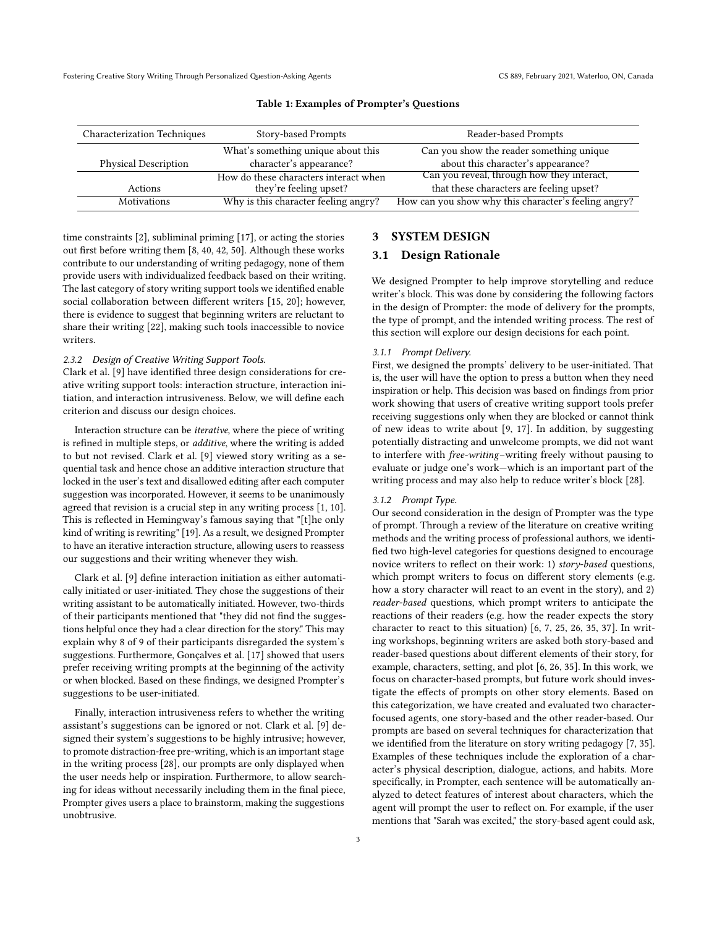<span id="page-2-0"></span>

| Characterization Techniques | Story-based Prompts                   | Reader-based Prompts                                 |
|-----------------------------|---------------------------------------|------------------------------------------------------|
|                             | What's something unique about this    | Can you show the reader something unique             |
| <b>Physical Description</b> | character's appearance?               | about this character's appearance?                   |
|                             | How do these characters interact when | Can you reveal, through how they interact,           |
| Actions                     | they're feeling upset?                | that these characters are feeling upset?             |
| Motivations                 | Why is this character feeling angry?  | How can you show why this character's feeling angry? |

#### Table 1: Examples of Prompter's Questions

time constraints [\[2\]](#page-11-22), subliminal priming [\[17\]](#page-11-23), or acting the stories out first before writing them [\[8,](#page-11-18) [40,](#page-11-19) [42,](#page-11-20) [50\]](#page-11-21). Although these works contribute to our understanding of writing pedagogy, none of them provide users with individualized feedback based on their writing. The last category of story writing support tools we identified enable social collaboration between different writers [\[15,](#page-11-24) [20\]](#page-11-25); however, there is evidence to suggest that beginning writers are reluctant to share their writing [\[22\]](#page-11-11), making such tools inaccessible to novice writers.

#### 2.3.2 Design of Creative Writing Support Tools.

Clark et al. [\[9\]](#page-11-15) have identified three design considerations for creative writing support tools: interaction structure, interaction initiation, and interaction intrusiveness. Below, we will define each criterion and discuss our design choices.

Interaction structure can be iterative, where the piece of writing is refined in multiple steps, or additive, where the writing is added to but not revised. Clark et al. [\[9\]](#page-11-15) viewed story writing as a sequential task and hence chose an additive interaction structure that locked in the user's text and disallowed editing after each computer suggestion was incorporated. However, it seems to be unanimously agreed that revision is a crucial step in any writing process [\[1,](#page-11-42) [10\]](#page-11-10). This is reflected in Hemingway's famous saying that "[t]he only kind of writing is rewriting" [\[19\]](#page-11-43). As a result, we designed Prompter to have an iterative interaction structure, allowing users to reassess our suggestions and their writing whenever they wish.

Clark et al. [\[9\]](#page-11-15) define interaction initiation as either automatically initiated or user-initiated. They chose the suggestions of their writing assistant to be automatically initiated. However, two-thirds of their participants mentioned that "they did not find the suggestions helpful once they had a clear direction for the story." This may explain why 8 of 9 of their participants disregarded the system's suggestions. Furthermore, Gonçalves et al. [\[17\]](#page-11-23) showed that users prefer receiving writing prompts at the beginning of the activity or when blocked. Based on these findings, we designed Prompter's suggestions to be user-initiated.

Finally, interaction intrusiveness refers to whether the writing assistant's suggestions can be ignored or not. Clark et al. [\[9\]](#page-11-15) designed their system's suggestions to be highly intrusive; however, to promote distraction-free pre-writing, which is an important stage in the writing process [\[28\]](#page-11-26), our prompts are only displayed when the user needs help or inspiration. Furthermore, to allow searching for ideas without necessarily including them in the final piece, Prompter gives users a place to brainstorm, making the suggestions unobtrusive.

# 3 SYSTEM DESIGN

#### 3.1 Design Rationale

We designed Prompter to help improve storytelling and reduce writer's block. This was done by considering the following factors in the design of Prompter: the mode of delivery for the prompts, the type of prompt, and the intended writing process. The rest of this section will explore our design decisions for each point.

#### 3.1.1 Prompt Delivery.

First, we designed the prompts' delivery to be user-initiated. That is, the user will have the option to press a button when they need inspiration or help. This decision was based on findings from prior work showing that users of creative writing support tools prefer receiving suggestions only when they are blocked or cannot think of new ideas to write about [\[9,](#page-11-15) [17\]](#page-11-23). In addition, by suggesting potentially distracting and unwelcome prompts, we did not want to interfere with free-writing–writing freely without pausing to evaluate or judge one's work—which is an important part of the writing process and may also help to reduce writer's block [\[28\]](#page-11-26).

## 3.1.2 Prompt Type.

Our second consideration in the design of Prompter was the type of prompt. Through a review of the literature on creative writing methods and the writing process of professional authors, we identified two high-level categories for questions designed to encourage novice writers to reflect on their work: 1) story-based questions, which prompt writers to focus on different story elements (e.g. how a story character will react to an event in the story), and 2) reader-based questions, which prompt writers to anticipate the reactions of their readers (e.g. how the reader expects the story character to react to this situation) [\[6,](#page-11-27) [7,](#page-11-28) [25,](#page-11-0) [26,](#page-11-29) [35,](#page-11-30) [37\]](#page-11-31). In writing workshops, beginning writers are asked both story-based and reader-based questions about different elements of their story, for example, characters, setting, and plot [\[6,](#page-11-27) [26,](#page-11-29) [35\]](#page-11-30). In this work, we focus on character-based prompts, but future work should investigate the effects of prompts on other story elements. Based on this categorization, we have created and evaluated two characterfocused agents, one story-based and the other reader-based. Our prompts are based on several techniques for characterization that we identified from the literature on story writing pedagogy [\[7,](#page-11-28) [35\]](#page-11-30). Examples of these techniques include the exploration of a character's physical description, dialogue, actions, and habits. More specifically, in Prompter, each sentence will be automatically analyzed to detect features of interest about characters, which the agent will prompt the user to reflect on. For example, if the user mentions that "Sarah was excited," the story-based agent could ask,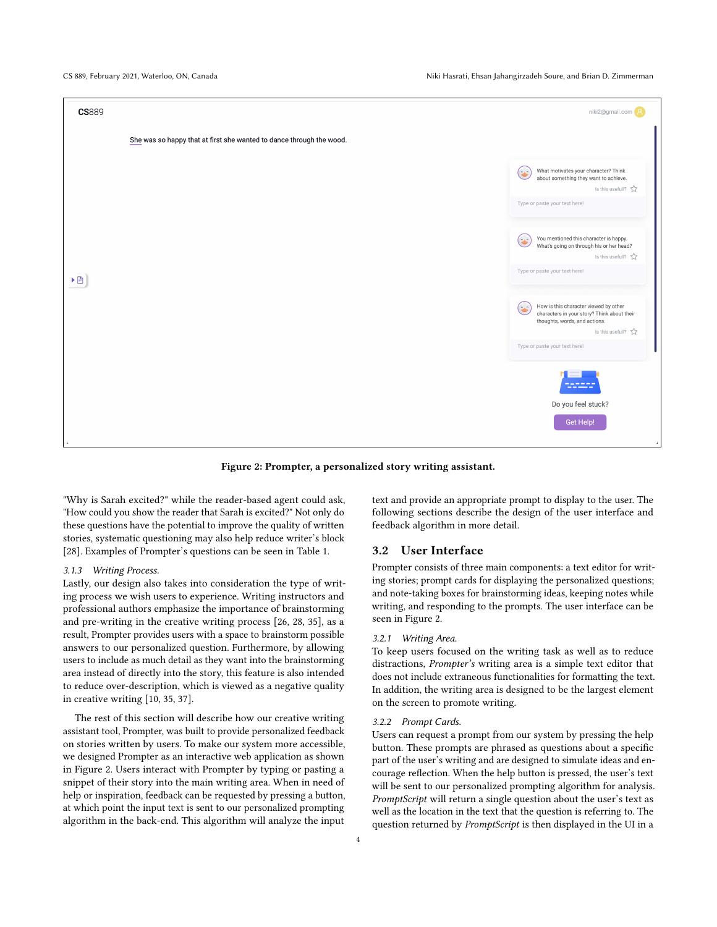CS 889, February 2021, Waterloo, ON, Canada Niki Hasrati, Ehsan Jahangirzadeh Soure, and Brian D. Zimmerman

<span id="page-3-0"></span>

Figure 2: Prompter, a personalized story writing assistant.

"Why is Sarah excited?" while the reader-based agent could ask, "How could you show the reader that Sarah is excited?" Not only do these questions have the potential to improve the quality of written stories, systematic questioning may also help reduce writer's block [\[28\]](#page-11-26). Examples of Prompter's questions can be seen in [Table 1.](#page-2-0)

#### 3.1.3 Writing Process.

Lastly, our design also takes into consideration the type of writing process we wish users to experience. Writing instructors and professional authors emphasize the importance of brainstorming and pre-writing in the creative writing process [\[26,](#page-11-29) [28,](#page-11-26) [35\]](#page-11-30), as a result, Prompter provides users with a space to brainstorm possible answers to our personalized question. Furthermore, by allowing users to include as much detail as they want into the brainstorming area instead of directly into the story, this feature is also intended to reduce over-description, which is viewed as a negative quality in creative writing [\[10,](#page-11-10) [35,](#page-11-30) [37\]](#page-11-31).

The rest of this section will describe how our creative writing assistant tool, Prompter, was built to provide personalized feedback on stories written by users. To make our system more accessible, we designed Prompter as an interactive web application as shown in [Figure 2.](#page-3-0) Users interact with Prompter by typing or pasting a snippet of their story into the main writing area. When in need of help or inspiration, feedback can be requested by pressing a button, at which point the input text is sent to our personalized prompting algorithm in the back-end. This algorithm will analyze the input

text and provide an appropriate prompt to display to the user. The following sections describe the design of the user interface and feedback algorithm in more detail.

#### 3.2 User Interface

Prompter consists of three main components: a text editor for writing stories; prompt cards for displaying the personalized questions; and note-taking boxes for brainstorming ideas, keeping notes while writing, and responding to the prompts. The user interface can be seen in [Figure 2.](#page-3-0)

#### 3.2.1 Writing Area.

To keep users focused on the writing task as well as to reduce distractions, Prompter's writing area is a simple text editor that does not include extraneous functionalities for formatting the text. In addition, the writing area is designed to be the largest element on the screen to promote writing.

#### 3.2.2 Prompt Cards.

Users can request a prompt from our system by pressing the help button. These prompts are phrased as questions about a specific part of the user's writing and are designed to simulate ideas and encourage reflection. When the help button is pressed, the user's text will be sent to our personalized prompting algorithm for analysis. PromptScript will return a single question about the user's text as well as the location in the text that the question is referring to. The question returned by PromptScript is then displayed in the UI in a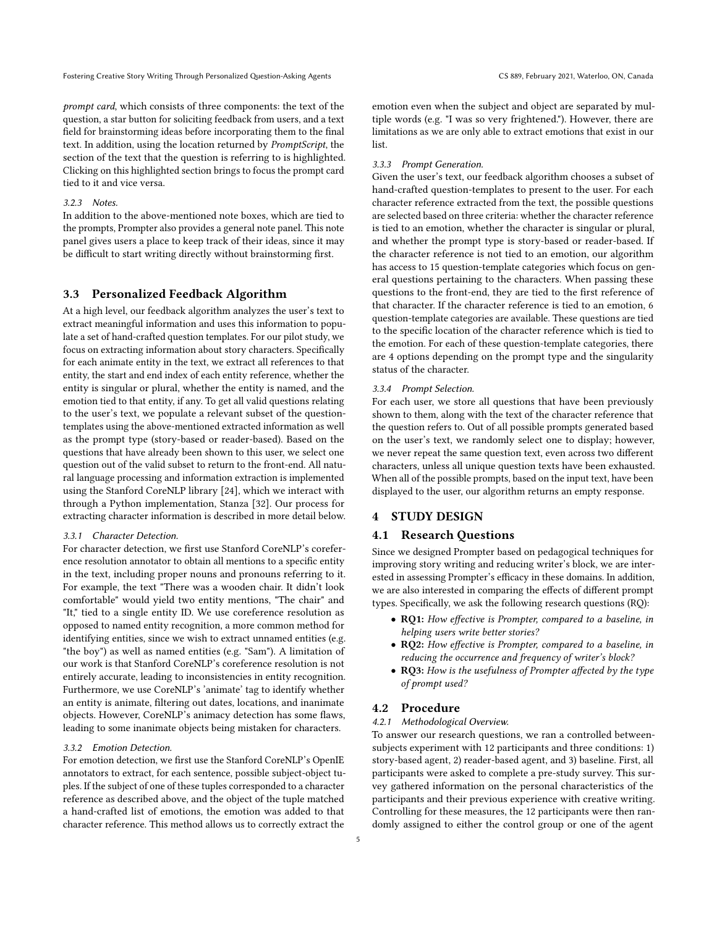prompt card, which consists of three components: the text of the question, a star button for soliciting feedback from users, and a text field for brainstorming ideas before incorporating them to the final text. In addition, using the location returned by PromptScript, the section of the text that the question is referring to is highlighted. Clicking on this highlighted section brings to focus the prompt card tied to it and vice versa.

# 3.2.3 Notes.

In addition to the above-mentioned note boxes, which are tied to the prompts, Prompter also provides a general note panel. This note panel gives users a place to keep track of their ideas, since it may be difficult to start writing directly without brainstorming first.

# 3.3 Personalized Feedback Algorithm

At a high level, our feedback algorithm analyzes the user's text to extract meaningful information and uses this information to populate a set of hand-crafted question templates. For our pilot study, we focus on extracting information about story characters. Specifically for each animate entity in the text, we extract all references to that entity, the start and end index of each entity reference, whether the entity is singular or plural, whether the entity is named, and the emotion tied to that entity, if any. To get all valid questions relating to the user's text, we populate a relevant subset of the questiontemplates using the above-mentioned extracted information as well as the prompt type (story-based or reader-based). Based on the questions that have already been shown to this user, we select one question out of the valid subset to return to the front-end. All natural language processing and information extraction is implemented using the Stanford CoreNLP library [\[24\]](#page-11-44), which we interact with through a Python implementation, Stanza [\[32\]](#page-11-45). Our process for extracting character information is described in more detail below.

# 3.3.1 Character Detection.

For character detection, we first use Stanford CoreNLP's coreference resolution annotator to obtain all mentions to a specific entity in the text, including proper nouns and pronouns referring to it. For example, the text "There was a wooden chair. It didn't look comfortable" would yield two entity mentions, "The chair" and "It," tied to a single entity ID. We use coreference resolution as opposed to named entity recognition, a more common method for identifying entities, since we wish to extract unnamed entities (e.g. "the boy") as well as named entities (e.g. "Sam"). A limitation of our work is that Stanford CoreNLP's coreference resolution is not entirely accurate, leading to inconsistencies in entity recognition. Furthermore, we use CoreNLP's 'animate' tag to identify whether an entity is animate, filtering out dates, locations, and inanimate objects. However, CoreNLP's animacy detection has some flaws, leading to some inanimate objects being mistaken for characters.

#### 3.3.2 Emotion Detection.

For emotion detection, we first use the Stanford CoreNLP's OpenIE annotators to extract, for each sentence, possible subject-object tuples. If the subject of one of these tuples corresponded to a character reference as described above, and the object of the tuple matched a hand-crafted list of emotions, the emotion was added to that character reference. This method allows us to correctly extract the

emotion even when the subject and object are separated by multiple words (e.g. "I was so very frightened."). However, there are limitations as we are only able to extract emotions that exist in our list.

#### 3.3.3 Prompt Generation.

Given the user's text, our feedback algorithm chooses a subset of hand-crafted question-templates to present to the user. For each character reference extracted from the text, the possible questions are selected based on three criteria: whether the character reference is tied to an emotion, whether the character is singular or plural, and whether the prompt type is story-based or reader-based. If the character reference is not tied to an emotion, our algorithm has access to 15 question-template categories which focus on general questions pertaining to the characters. When passing these questions to the front-end, they are tied to the first reference of that character. If the character reference is tied to an emotion, 6 question-template categories are available. These questions are tied to the specific location of the character reference which is tied to the emotion. For each of these question-template categories, there are 4 options depending on the prompt type and the singularity status of the character.

#### 3.3.4 Prompt Selection.

For each user, we store all questions that have been previously shown to them, along with the text of the character reference that the question refers to. Out of all possible prompts generated based on the user's text, we randomly select one to display; however, we never repeat the same question text, even across two different characters, unless all unique question texts have been exhausted. When all of the possible prompts, based on the input text, have been displayed to the user, our algorithm returns an empty response.

# 4 STUDY DESIGN

# 4.1 Research Questions

Since we designed Prompter based on pedagogical techniques for improving story writing and reducing writer's block, we are interested in assessing Prompter's efficacy in these domains. In addition, we are also interested in comparing the effects of different prompt types. Specifically, we ask the following research questions (RQ):

- RQ1: How effective is Prompter, compared to a baseline, in helping users write better stories?
- RQ2: How effective is Prompter, compared to a baseline, in reducing the occurrence and frequency of writer's block?
- RQ3: How is the usefulness of Prompter affected by the type of prompt used?

# 4.2 Procedure

# 4.2.1 Methodological Overview.

To answer our research questions, we ran a controlled betweensubjects experiment with 12 participants and three conditions: 1) story-based agent, 2) reader-based agent, and 3) baseline. First, all participants were asked to complete a pre-study survey. This survey gathered information on the personal characteristics of the participants and their previous experience with creative writing. Controlling for these measures, the 12 participants were then randomly assigned to either the control group or one of the agent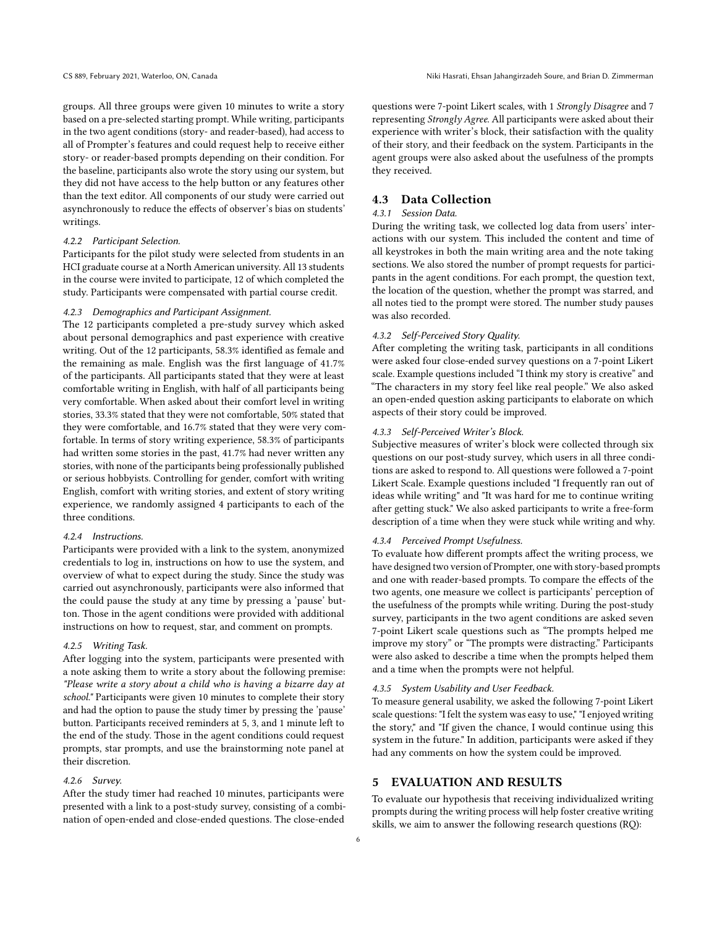groups. All three groups were given 10 minutes to write a story based on a pre-selected starting prompt. While writing, participants in the two agent conditions (story- and reader-based), had access to all of Prompter's features and could request help to receive either story- or reader-based prompts depending on their condition. For the baseline, participants also wrote the story using our system, but they did not have access to the help button or any features other than the text editor. All components of our study were carried out asynchronously to reduce the effects of observer's bias on students' writings.

#### 4.2.2 Participant Selection.

Participants for the pilot study were selected from students in an HCI graduate course at a North American university. All 13 students in the course were invited to participate, 12 of which completed the study. Participants were compensated with partial course credit.

#### 4.2.3 Demographics and Participant Assignment.

The 12 participants completed a pre-study survey which asked about personal demographics and past experience with creative writing. Out of the 12 participants, 58.3% identified as female and the remaining as male. English was the first language of 41.7% of the participants. All participants stated that they were at least comfortable writing in English, with half of all participants being very comfortable. When asked about their comfort level in writing stories, 33.3% stated that they were not comfortable, 50% stated that they were comfortable, and 16.7% stated that they were very comfortable. In terms of story writing experience, 58.3% of participants had written some stories in the past, 41.7% had never written any stories, with none of the participants being professionally published or serious hobbyists. Controlling for gender, comfort with writing English, comfort with writing stories, and extent of story writing experience, we randomly assigned 4 participants to each of the three conditions.

#### 4.2.4 Instructions.

Participants were provided with a link to the system, anonymized credentials to log in, instructions on how to use the system, and overview of what to expect during the study. Since the study was carried out asynchronously, participants were also informed that the could pause the study at any time by pressing a 'pause' button. Those in the agent conditions were provided with additional instructions on how to request, star, and comment on prompts.

#### 4.2.5 Writing Task.

After logging into the system, participants were presented with a note asking them to write a story about the following premise: "Please write a story about a child who is having a bizarre day at school." Participants were given 10 minutes to complete their story and had the option to pause the study timer by pressing the 'pause' button. Participants received reminders at 5, 3, and 1 minute left to the end of the study. Those in the agent conditions could request prompts, star prompts, and use the brainstorming note panel at their discretion.

#### 4.2.6 Survey.

After the study timer had reached 10 minutes, participants were presented with a link to a post-study survey, consisting of a combination of open-ended and close-ended questions. The close-ended

questions were 7-point Likert scales, with 1 Strongly Disagree and 7 representing Strongly Agree. All participants were asked about their experience with writer's block, their satisfaction with the quality of their story, and their feedback on the system. Participants in the agent groups were also asked about the usefulness of the prompts they received.

# 4.3 Data Collection

#### 4.3.1 Session Data.

During the writing task, we collected log data from users' interactions with our system. This included the content and time of all keystrokes in both the main writing area and the note taking sections. We also stored the number of prompt requests for participants in the agent conditions. For each prompt, the question text, the location of the question, whether the prompt was starred, and all notes tied to the prompt were stored. The number study pauses was also recorded.

# 4.3.2 Self-Perceived Story Quality.

After completing the writing task, participants in all conditions were asked four close-ended survey questions on a 7-point Likert scale. Example questions included "I think my story is creative" and "The characters in my story feel like real people." We also asked an open-ended question asking participants to elaborate on which aspects of their story could be improved.

#### 4.3.3 Self-Perceived Writer's Block.

Subjective measures of writer's block were collected through six questions on our post-study survey, which users in all three conditions are asked to respond to. All questions were followed a 7-point Likert Scale. Example questions included "I frequently ran out of ideas while writing" and "It was hard for me to continue writing after getting stuck." We also asked participants to write a free-form description of a time when they were stuck while writing and why.

# 4.3.4 Perceived Prompt Usefulness.

To evaluate how different prompts affect the writing process, we have designed two version of Prompter, one with story-based prompts and one with reader-based prompts. To compare the effects of the two agents, one measure we collect is participants' perception of the usefulness of the prompts while writing. During the post-study survey, participants in the two agent conditions are asked seven 7-point Likert scale questions such as "The prompts helped me improve my story" or "The prompts were distracting." Participants were also asked to describe a time when the prompts helped them and a time when the prompts were not helpful.

#### 4.3.5 System Usability and User Feedback.

To measure general usability, we asked the following 7-point Likert scale questions: "I felt the system was easy to use," "I enjoyed writing the story," and "If given the chance, I would continue using this system in the future." In addition, participants were asked if they had any comments on how the system could be improved.

# 5 EVALUATION AND RESULTS

To evaluate our hypothesis that receiving individualized writing prompts during the writing process will help foster creative writing skills, we aim to answer the following research questions (RQ):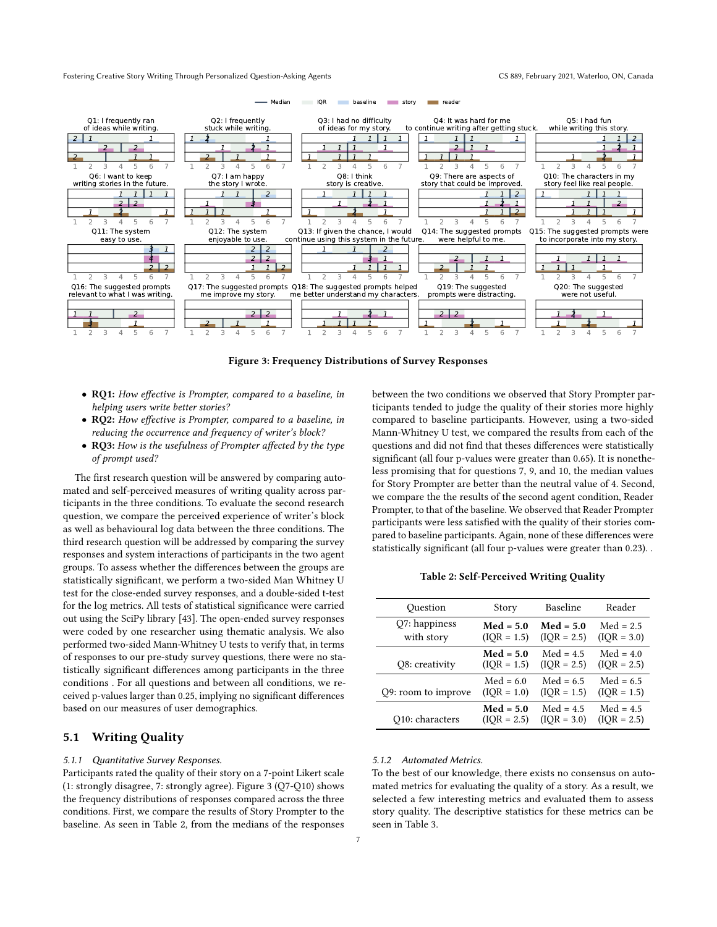<span id="page-6-0"></span>

Figure 3: Frequency Distributions of Survey Responses

- RQ1: How effective is Prompter, compared to a baseline, in helping users write better stories?
- RQ2: How effective is Prompter, compared to a baseline, in reducing the occurrence and frequency of writer's block?
- RQ3: How is the usefulness of Prompter affected by the type of prompt used?

The first research question will be answered by comparing automated and self-perceived measures of writing quality across participants in the three conditions. To evaluate the second research question, we compare the perceived experience of writer's block as well as behavioural log data between the three conditions. The third research question will be addressed by comparing the survey responses and system interactions of participants in the two agent groups. To assess whether the differences between the groups are statistically significant, we perform a two-sided Man Whitney U test for the close-ended survey responses, and a double-sided t-test for the log metrics. All tests of statistical significance were carried out using the SciPy library [\[43\]](#page-11-46). The open-ended survey responses were coded by one researcher using thematic analysis. We also performed two-sided Mann-Whitney U tests to verify that, in terms of responses to our pre-study survey questions, there were no statistically significant differences among participants in the three conditions . For all questions and between all conditions, we received p-values larger than 0.25, implying no significant differences based on our measures of user demographics.

# 5.1 Writing Quality

#### 5.1.1 Quantitative Survey Responses.

Participants rated the quality of their story on a 7-point Likert scale (1: strongly disagree, 7: strongly agree). [Figure 3](#page-6-0) (Q7-Q10) shows the frequency distributions of responses compared across the three conditions. First, we compare the results of Story Prompter to the baseline. As seen in [Table 2,](#page-6-1) from the medians of the responses

ticipants tended to judge the quality of their stories more highly compared to baseline participants. However, using a two-sided Mann-Whitney U test, we compared the results from each of the questions and did not find that theses differences were statistically significant (all four p-values were greater than 0.65). It is nonetheless promising that for questions 7, 9, and 10, the median values for Story Prompter are better than the neutral value of 4. Second, we compare the the results of the second agent condition, Reader Prompter, to that of the baseline. We observed that Reader Prompter participants were less satisfied with the quality of their stories compared to baseline participants. Again, none of these differences were statistically significant (all four p-values were greater than 0.23). .

between the two conditions we observed that Story Prompter par-

Table 2: Self-Perceived Writing Quality

<span id="page-6-1"></span>

| Question            | Story         | <b>Baseline</b> | Reader        |
|---------------------|---------------|-----------------|---------------|
| Q7: happiness       | $Med = 5.0$   | $Med = 5.0$     | $Med = 2.5$   |
| with story          | $(IOR = 1.5)$ | $(IQR = 2.5)$   | $(IOR = 3.0)$ |
| Q8: creativity      | $Med = 5.0$   | $Med = 4.5$     | $Med = 4.0$   |
|                     | $(IQR = 1.5)$ | $(IQR = 2.5)$   | $(IOR = 2.5)$ |
| Q9: room to improve | $Med = 6.0$   | $Med = 6.5$     | $Med = 6.5$   |
|                     | $(IOR = 1.0)$ | $(IOR = 1.5)$   | $(IOR = 1.5)$ |
| Q10: characters     | $Med = 5.0$   | $Med = 4.5$     | $Med = 4.5$   |
|                     | $(IOR = 2.5)$ | $(IOR = 3.0)$   | $(IOR = 2.5)$ |

#### 5.1.2 Automated Metrics.

To the best of our knowledge, there exists no consensus on automated metrics for evaluating the quality of a story. As a result, we selected a few interesting metrics and evaluated them to assess story quality. The descriptive statistics for these metrics can be seen in [Table 3.](#page-7-0)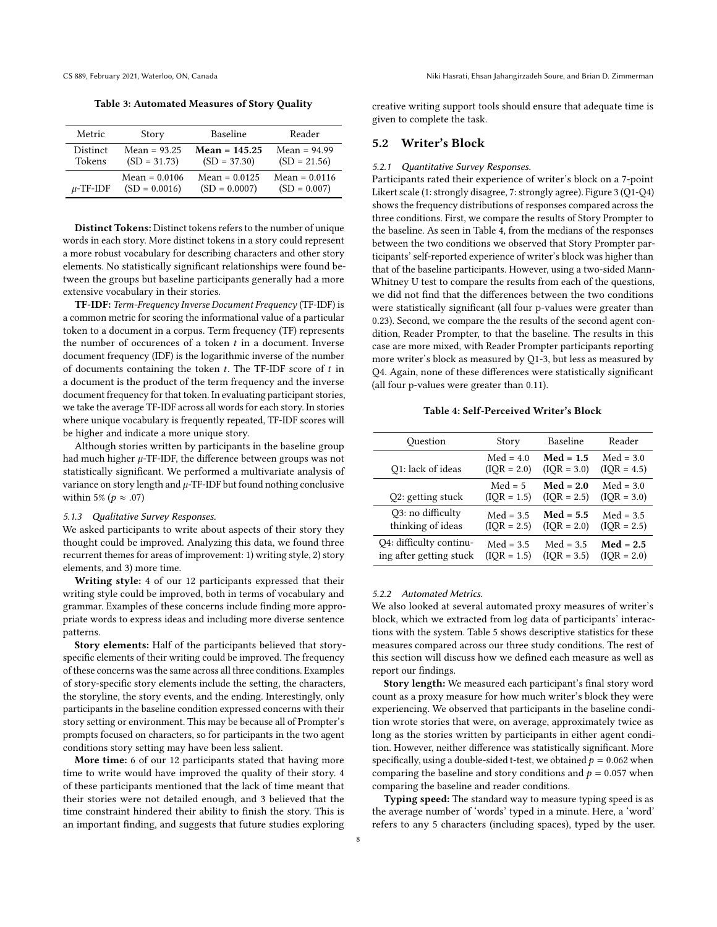<span id="page-7-0"></span>Table 3: Automated Measures of Story Quality

| Metric          | Story           | <b>Baseline</b> | Reader          |
|-----------------|-----------------|-----------------|-----------------|
| <b>Distinct</b> | $Mean = 93.25$  | $Mean = 145.25$ | $Mean = 94.99$  |
| Tokens          | $(SD = 31.73)$  | $(SD = 37.30)$  | $(SD = 21.56)$  |
| $\mu$ -TF-IDF   | $Mean = 0.0106$ | $Mean = 0.0125$ | $Mean = 0.0116$ |
|                 | $(SD = 0.0016)$ | $(SD = 0.0007)$ | $(SD = 0.007)$  |

Distinct Tokens: Distinct tokens refers to the number of unique words in each story. More distinct tokens in a story could represent a more robust vocabulary for describing characters and other story elements. No statistically significant relationships were found between the groups but baseline participants generally had a more extensive vocabulary in their stories.

TF-IDF: Term-Frequency Inverse Document Frequency (TF-IDF) is a common metric for scoring the informational value of a particular token to a document in a corpus. Term frequency (TF) represents the number of occurences of a token  $t$  in a document. Inverse document frequency (IDF) is the logarithmic inverse of the number of documents containing the token  $t$ . The TF-IDF score of  $t$  in a document is the product of the term frequency and the inverse document frequency for that token. In evaluating participant stories, we take the average TF-IDF across all words for each story. In stories where unique vocabulary is frequently repeated, TF-IDF scores will be higher and indicate a more unique story.

Although stories written by participants in the baseline group had much higher  $\mu$ -TF-IDF, the difference between groups was not statistically significant. We performed a multivariate analysis of variance on story length and  $\mu$ -TF-IDF but found nothing conclusive within 5% ( $p \approx .07$ )

# 5.1.3 Qualitative Survey Responses.

We asked participants to write about aspects of their story they thought could be improved. Analyzing this data, we found three recurrent themes for areas of improvement: 1) writing style, 2) story elements, and 3) more time.

Writing style: 4 of our 12 participants expressed that their writing style could be improved, both in terms of vocabulary and grammar. Examples of these concerns include finding more appropriate words to express ideas and including more diverse sentence patterns.

Story elements: Half of the participants believed that storyspecific elements of their writing could be improved. The frequency of these concerns was the same across all three conditions. Examples of story-specific story elements include the setting, the characters, the storyline, the story events, and the ending. Interestingly, only participants in the baseline condition expressed concerns with their story setting or environment. This may be because all of Prompter's prompts focused on characters, so for participants in the two agent conditions story setting may have been less salient.

More time: 6 of our 12 participants stated that having more time to write would have improved the quality of their story. 4 of these participants mentioned that the lack of time meant that their stories were not detailed enough, and 3 believed that the time constraint hindered their ability to finish the story. This is an important finding, and suggests that future studies exploring creative writing support tools should ensure that adequate time is given to complete the task.

# 5.2 Writer's Block

### 5.2.1 Quantitative Survey Responses.

Participants rated their experience of writer's block on a 7-point Likert scale (1: strongly disagree, 7: strongly agree). [Figure 3](#page-6-0) (Q1-Q4) shows the frequency distributions of responses compared across the three conditions. First, we compare the results of Story Prompter to the baseline. As seen in [Table 4,](#page-7-1) from the medians of the responses between the two conditions we observed that Story Prompter participants' self-reported experience of writer's block was higher than that of the baseline participants. However, using a two-sided Mann-Whitney U test to compare the results from each of the questions, we did not find that the differences between the two conditions were statistically significant (all four p-values were greater than 0.23). Second, we compare the the results of the second agent condition, Reader Prompter, to that the baseline. The results in this case are more mixed, with Reader Prompter participants reporting more writer's block as measured by Q1-3, but less as measured by Q4. Again, none of these differences were statistically significant (all four p-values were greater than 0.11).

Table 4: Self-Perceived Writer's Block

<span id="page-7-1"></span>

| Ouestion                | Story         | Baseline      | Reader        |
|-------------------------|---------------|---------------|---------------|
| Q1: lack of ideas       | $Med = 4.0$   | $Med = 1.5$   | $Med = 3.0$   |
|                         | $(IOR = 2.0)$ | $(IOR = 3.0)$ | $(IOR = 4.5)$ |
| Q2: getting stuck       | $Med = 5$     | $Med = 2.0$   | $Med = 3.0$   |
|                         | $(IOR = 1.5)$ | $(IOR = 2.5)$ | $(IOR = 3.0)$ |
| Q3: no difficulty       | $Med = 3.5$   | $Med = 5.5$   | $Med = 3.5$   |
| thinking of ideas       | $(IOR = 2.5)$ | $(IOR = 2.0)$ | $(IOR = 2.5)$ |
| Q4: difficulty continu- | $Med = 3.5$   | $Med = 3.5$   | $Med = 2.5$   |
| ing after getting stuck | $(IOR = 1.5)$ | $(IOR = 3.5)$ | $(IOR = 2.0)$ |

#### 5.2.2 Automated Metrics.

We also looked at several automated proxy measures of writer's block, which we extracted from log data of participants' interactions with the system. [Table 5](#page-8-0) shows descriptive statistics for these measures compared across our three study conditions. The rest of this section will discuss how we defined each measure as well as report our findings.

Story length: We measured each participant's final story word count as a proxy measure for how much writer's block they were experiencing. We observed that participants in the baseline condition wrote stories that were, on average, approximately twice as long as the stories written by participants in either agent condition. However, neither difference was statistically significant. More specifically, using a double-sided t-test, we obtained  $p = 0.062$  when comparing the baseline and story conditions and  $p = 0.057$  when comparing the baseline and reader conditions.

Typing speed: The standard way to measure typing speed is as the average number of 'words' typed in a minute. Here, a 'word' refers to any 5 characters (including spaces), typed by the user.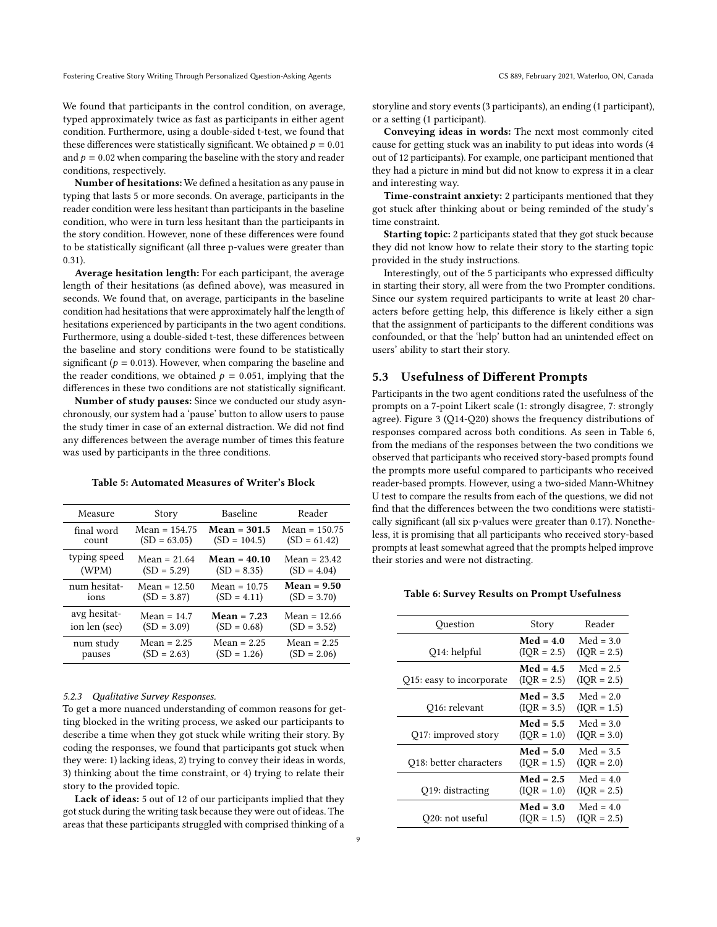We found that participants in the control condition, on average, typed approximately twice as fast as participants in either agent condition. Furthermore, using a double-sided t-test, we found that these differences were statistically significant. We obtained  $p = 0.01$ and  $p = 0.02$  when comparing the baseline with the story and reader conditions, respectively.

Number of hesitations: We defined a hesitation as any pause in typing that lasts 5 or more seconds. On average, participants in the reader condition were less hesitant than participants in the baseline condition, who were in turn less hesitant than the participants in the story condition. However, none of these differences were found to be statistically significant (all three p-values were greater than 0.31).

Average hesitation length: For each participant, the average length of their hesitations (as defined above), was measured in seconds. We found that, on average, participants in the baseline condition had hesitations that were approximately half the length of hesitations experienced by participants in the two agent conditions. Furthermore, using a double-sided t-test, these differences between the baseline and story conditions were found to be statistically significant ( $p = 0.013$ ). However, when comparing the baseline and the reader conditions, we obtained  $p = 0.051$ , implying that the differences in these two conditions are not statistically significant.

Number of study pauses: Since we conducted our study asynchronously, our system had a 'pause' button to allow users to pause the study timer in case of an external distraction. We did not find any differences between the average number of times this feature was used by participants in the three conditions.

#### <span id="page-8-0"></span>Table 5: Automated Measures of Writer's Block

| Measure       | Story           | <b>Baseline</b> | Reader          |
|---------------|-----------------|-----------------|-----------------|
| final word    | $Mean = 154.75$ | $Mean = 301.5$  | $Mean = 150.75$ |
| count         | $(SD = 63.05)$  | $(SD = 104.5)$  | $(SD = 61.42)$  |
| typing speed  | Mean = $21.64$  | $Mean = 40.10$  | Mean = $23.42$  |
| (WPM)         | $(SD = 5.29)$   | $(SD = 8.35)$   | $(SD = 4.04)$   |
| num hesitat-  | Mean = $12.50$  | $Mean = 10.75$  | $Mean = 9.50$   |
| ions          | $(SD = 3.87)$   | $(SD = 4.11)$   | $(SD = 3.70)$   |
| avg hesitat-  | $Mean = 14.7$   | $Mean = 7.23$   | Mean = $12.66$  |
| ion len (sec) | $(SD = 3.09)$   | $(SD = 0.68)$   | $(SD = 3.52)$   |
| num study     | $Mean = 2.25$   | $Mean = 2.25$   | $Mean = 2.25$   |
| pauses        | $(SD = 2.63)$   | $(SD = 1.26)$   | $(SD = 2.06)$   |

# 5.2.3 Qualitative Survey Responses.

To get a more nuanced understanding of common reasons for getting blocked in the writing process, we asked our participants to describe a time when they got stuck while writing their story. By coding the responses, we found that participants got stuck when they were: 1) lacking ideas, 2) trying to convey their ideas in words, 3) thinking about the time constraint, or 4) trying to relate their story to the provided topic.

Lack of ideas: 5 out of 12 of our participants implied that they got stuck during the writing task because they were out of ideas. The areas that these participants struggled with comprised thinking of a storyline and story events (3 participants), an ending (1 participant), or a setting (1 participant).

Conveying ideas in words: The next most commonly cited cause for getting stuck was an inability to put ideas into words (4 out of 12 participants). For example, one participant mentioned that they had a picture in mind but did not know to express it in a clear and interesting way.

Time-constraint anxiety: 2 participants mentioned that they got stuck after thinking about or being reminded of the study's time constraint.

Starting topic: 2 participants stated that they got stuck because they did not know how to relate their story to the starting topic provided in the study instructions.

Interestingly, out of the 5 participants who expressed difficulty in starting their story, all were from the two Prompter conditions. Since our system required participants to write at least 20 characters before getting help, this difference is likely either a sign that the assignment of participants to the different conditions was confounded, or that the 'help' button had an unintended effect on users' ability to start their story.

# 5.3 Usefulness of Different Prompts

Participants in the two agent conditions rated the usefulness of the prompts on a 7-point Likert scale (1: strongly disagree, 7: strongly agree). [Figure 3](#page-6-0) (Q14-Q20) shows the frequency distributions of responses compared across both conditions. As seen in [Table 6,](#page-8-1) from the medians of the responses between the two conditions we observed that participants who received story-based prompts found the prompts more useful compared to participants who received reader-based prompts. However, using a two-sided Mann-Whitney U test to compare the results from each of the questions, we did not find that the differences between the two conditions were statistically significant (all six p-values were greater than 0.17). Nonetheless, it is promising that all participants who received story-based prompts at least somewhat agreed that the prompts helped improve their stories and were not distracting.

#### <span id="page-8-1"></span>Table 6: Survey Results on Prompt Usefulness

| Ouestion                 | Story                        | Reader                       |
|--------------------------|------------------------------|------------------------------|
| Q14: helpful             | $Med = 4.0$<br>$(IOR = 2.5)$ | $Med = 3.0$<br>$(IOR = 2.5)$ |
| Q15: easy to incorporate | $Med = 4.5$<br>$(IOR = 2.5)$ | $Med = 2.5$<br>$(IOR = 2.5)$ |
| Q16: relevant            | $Med = 3.5$<br>$(IOR = 3.5)$ | $Med = 2.0$<br>$(IOR = 1.5)$ |
| Q17: improved story      | $Med = 5.5$<br>$(IOR = 1.0)$ | $Med = 3.0$<br>$(IOR = 3.0)$ |
| Q18: better characters   | $Med = 5.0$<br>$(IOR = 1.5)$ | $Med = 3.5$<br>$(IOR = 2.0)$ |
| Q19: distracting         | $Med = 2.5$<br>$(IOR = 1.0)$ | $Med = 4.0$<br>$(IOR = 2.5)$ |
| O20: not useful          | $Med = 3.0$<br>$(IOR = 1.5)$ | $Med = 4.0$<br>$(IOR = 2.5)$ |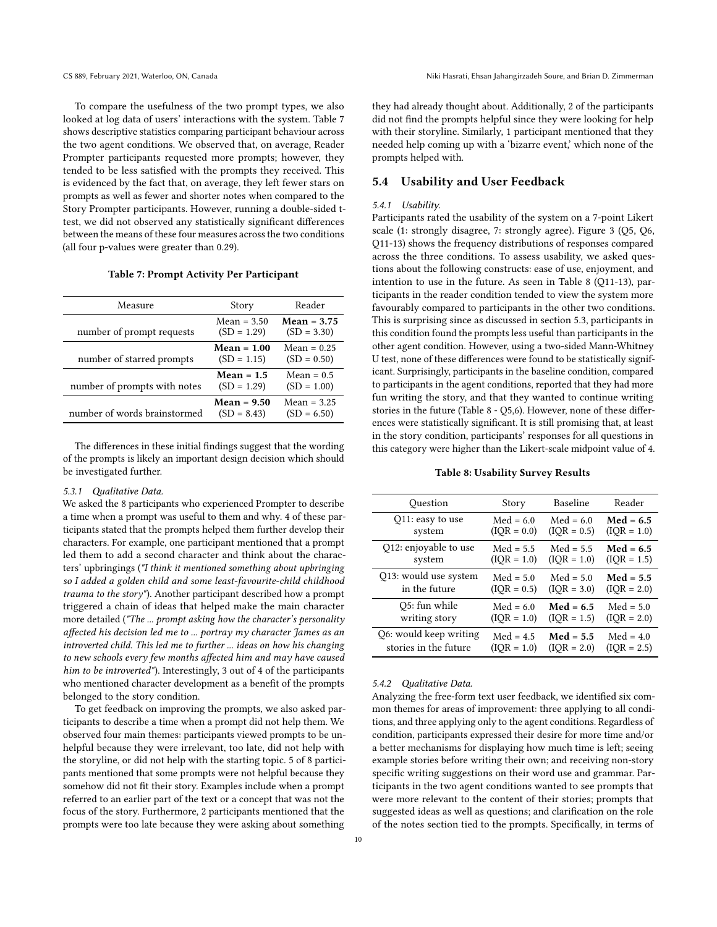To compare the usefulness of the two prompt types, we also looked at log data of users' interactions with the system. [Table 7](#page-9-0) shows descriptive statistics comparing participant behaviour across the two agent conditions. We observed that, on average, Reader Prompter participants requested more prompts; however, they tended to be less satisfied with the prompts they received. This is evidenced by the fact that, on average, they left fewer stars on prompts as well as fewer and shorter notes when compared to the Story Prompter participants. However, running a double-sided ttest, we did not observed any statistically significant differences between the means of these four measures across the two conditions (all four p-values were greater than 0.29).

#### Table 7: Prompt Activity Per Participant

<span id="page-9-0"></span>

| Measure                      | Story                          | Reader                         |
|------------------------------|--------------------------------|--------------------------------|
| number of prompt requests    | $Mean = 3.50$<br>$(SD = 1.29)$ | $Mean = 3.75$<br>$(SD = 3.30)$ |
| number of starred prompts    | $Mean = 1.00$<br>$(SD = 1.15)$ | $Mean = 0.25$<br>$(SD = 0.50)$ |
| number of prompts with notes | $Mean = 1.5$<br>$(SD = 1.29)$  | $Mean = 0.5$<br>$(SD = 1.00)$  |
| number of words brainstormed | $Mean = 9.50$<br>$(SD = 8.43)$ | $Mean = 3.25$<br>$(SD = 6.50)$ |

The differences in these initial findings suggest that the wording of the prompts is likely an important design decision which should be investigated further.

#### 5.3.1 Qualitative Data.

We asked the 8 participants who experienced Prompter to describe a time when a prompt was useful to them and why. 4 of these participants stated that the prompts helped them further develop their characters. For example, one participant mentioned that a prompt led them to add a second character and think about the characters' upbringings ("I think it mentioned something about upbringing so I added a golden child and some least-favourite-child childhood trauma to the story"). Another participant described how a prompt triggered a chain of ideas that helped make the main character more detailed ("The ... prompt asking how the character's personality affected his decision led me to ... portray my character James as an introverted child. This led me to further ... ideas on how his changing to new schools every few months affected him and may have caused him to be introverted"). Interestingly, 3 out of 4 of the participants who mentioned character development as a benefit of the prompts belonged to the story condition.

To get feedback on improving the prompts, we also asked participants to describe a time when a prompt did not help them. We observed four main themes: participants viewed prompts to be unhelpful because they were irrelevant, too late, did not help with the storyline, or did not help with the starting topic. 5 of 8 participants mentioned that some prompts were not helpful because they somehow did not fit their story. Examples include when a prompt referred to an earlier part of the text or a concept that was not the focus of the story. Furthermore, 2 participants mentioned that the prompts were too late because they were asking about something

they had already thought about. Additionally, 2 of the participants did not find the prompts helpful since they were looking for help with their storyline. Similarly, 1 participant mentioned that they needed help coming up with a 'bizarre event,' which none of the prompts helped with.

# 5.4 Usability and User Feedback

# 5.4.1 Usability.

Participants rated the usability of the system on a 7-point Likert scale (1: strongly disagree, 7: strongly agree). [Figure 3](#page-6-0) (Q5, Q6, Q11-13) shows the frequency distributions of responses compared across the three conditions. To assess usability, we asked questions about the following constructs: ease of use, enjoyment, and intention to use in the future. As seen in [Table 8](#page-9-1) (Q11-13), participants in the reader condition tended to view the system more favourably compared to participants in the other two conditions. This is surprising since as discussed in section 5.3, participants in this condition found the prompts less useful than participants in the other agent condition. However, using a two-sided Mann-Whitney U test, none of these differences were found to be statistically significant. Surprisingly, participants in the baseline condition, compared to participants in the agent conditions, reported that they had more fun writing the story, and that they wanted to continue writing stories in the future [\(Table 8](#page-9-1) - Q5,6). However, none of these differences were statistically significant. It is still promising that, at least in the story condition, participants' responses for all questions in this category were higher than the Likert-scale midpoint value of 4.

#### Table 8: Usability Survey Results

<span id="page-9-1"></span>

| Question               | Story         | Baseline      | Reader        |
|------------------------|---------------|---------------|---------------|
| Q11: easy to use       | $Med = 6.0$   | $Med = 6.0$   | $Med = 6.5$   |
| system                 | $(IQR = 0.0)$ | $(IOR = 0.5)$ | $(IQR = 1.0)$ |
| Q12: enjoyable to use  | $Med = 5.5$   | $Med = 5.5$   | $Med = 6.5$   |
| system                 | $(IOR = 1.0)$ | $(IOR = 1.0)$ | $(IOR = 1.5)$ |
| Q13: would use system  | $Med = 5.0$   | $Med = 5.0$   | $Med = 5.5$   |
| in the future          | $(IQR = 0.5)$ | $(IOR = 3.0)$ | $(IOR = 2.0)$ |
| O5: fun while          | $Med = 6.0$   | $Med = 6.5$   | $Med = 5.0$   |
| writing story          | $(IOR = 1.0)$ | $(IOR = 1.5)$ | $(IOR = 2.0)$ |
| Q6: would keep writing | $Med = 4.5$   | $Med = 5.5$   | $Med = 4.0$   |
| stories in the future  | $(IOR = 1.0)$ | $(IOR = 2.0)$ | $(IOR = 2.5)$ |

#### 5.4.2 Qualitative Data.

Analyzing the free-form text user feedback, we identified six common themes for areas of improvement: three applying to all conditions, and three applying only to the agent conditions. Regardless of condition, participants expressed their desire for more time and/or a better mechanisms for displaying how much time is left; seeing example stories before writing their own; and receiving non-story specific writing suggestions on their word use and grammar. Participants in the two agent conditions wanted to see prompts that were more relevant to the content of their stories; prompts that suggested ideas as well as questions; and clarification on the role of the notes section tied to the prompts. Specifically, in terms of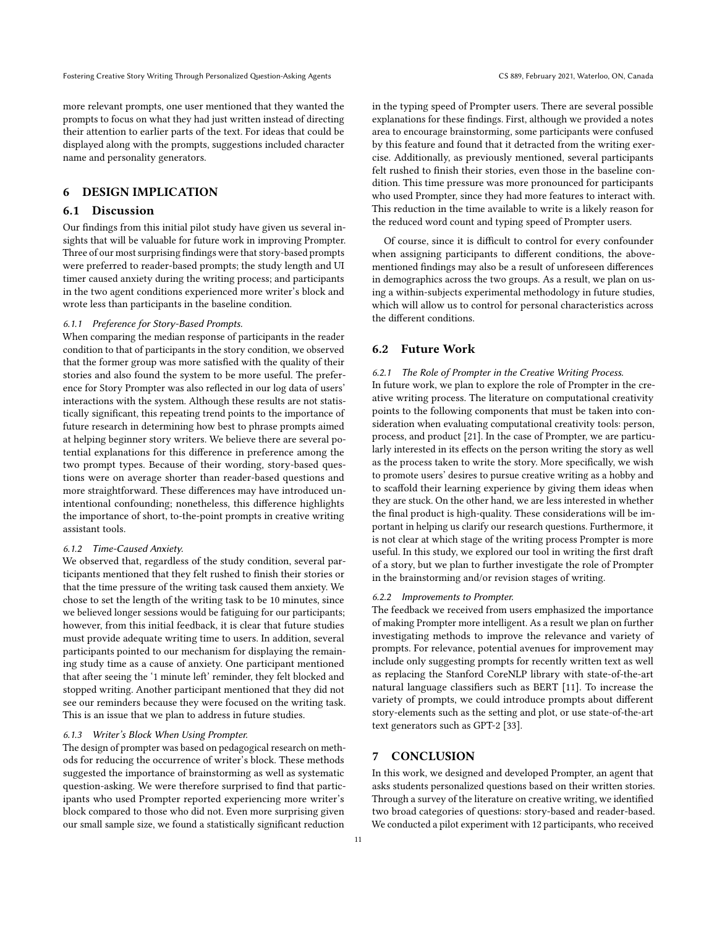more relevant prompts, one user mentioned that they wanted the prompts to focus on what they had just written instead of directing their attention to earlier parts of the text. For ideas that could be displayed along with the prompts, suggestions included character name and personality generators.

# 6 DESIGN IMPLICATION

# 6.1 Discussion

Our findings from this initial pilot study have given us several insights that will be valuable for future work in improving Prompter. Three of our most surprising findings were that story-based prompts were preferred to reader-based prompts; the study length and UI timer caused anxiety during the writing process; and participants in the two agent conditions experienced more writer's block and wrote less than participants in the baseline condition.

#### 6.1.1 Preference for Story-Based Prompts.

When comparing the median response of participants in the reader condition to that of participants in the story condition, we observed that the former group was more satisfied with the quality of their stories and also found the system to be more useful. The preference for Story Prompter was also reflected in our log data of users' interactions with the system. Although these results are not statistically significant, this repeating trend points to the importance of future research in determining how best to phrase prompts aimed at helping beginner story writers. We believe there are several potential explanations for this difference in preference among the two prompt types. Because of their wording, story-based questions were on average shorter than reader-based questions and more straightforward. These differences may have introduced unintentional confounding; nonetheless, this difference highlights the importance of short, to-the-point prompts in creative writing assistant tools.

#### 6.1.2 Time-Caused Anxiety.

We observed that, regardless of the study condition, several participants mentioned that they felt rushed to finish their stories or that the time pressure of the writing task caused them anxiety. We chose to set the length of the writing task to be 10 minutes, since we believed longer sessions would be fatiguing for our participants; however, from this initial feedback, it is clear that future studies must provide adequate writing time to users. In addition, several participants pointed to our mechanism for displaying the remaining study time as a cause of anxiety. One participant mentioned that after seeing the '1 minute left' reminder, they felt blocked and stopped writing. Another participant mentioned that they did not see our reminders because they were focused on the writing task. This is an issue that we plan to address in future studies.

#### 6.1.3 Writer's Block When Using Prompter.

The design of prompter was based on pedagogical research on methods for reducing the occurrence of writer's block. These methods suggested the importance of brainstorming as well as systematic question-asking. We were therefore surprised to find that participants who used Prompter reported experiencing more writer's block compared to those who did not. Even more surprising given our small sample size, we found a statistically significant reduction

in the typing speed of Prompter users. There are several possible explanations for these findings. First, although we provided a notes area to encourage brainstorming, some participants were confused by this feature and found that it detracted from the writing exercise. Additionally, as previously mentioned, several participants felt rushed to finish their stories, even those in the baseline condition. This time pressure was more pronounced for participants who used Prompter, since they had more features to interact with. This reduction in the time available to write is a likely reason for the reduced word count and typing speed of Prompter users.

Of course, since it is difficult to control for every confounder when assigning participants to different conditions, the abovementioned findings may also be a result of unforeseen differences in demographics across the two groups. As a result, we plan on using a within-subjects experimental methodology in future studies, which will allow us to control for personal characteristics across the different conditions.

# 6.2 Future Work

# 6.2.1 The Role of Prompter in the Creative Writing Process.

In future work, we plan to explore the role of Prompter in the creative writing process. The literature on computational creativity points to the following components that must be taken into consideration when evaluating computational creativity tools: person, process, and product [\[21\]](#page-11-47). In the case of Prompter, we are particularly interested in its effects on the person writing the story as well as the process taken to write the story. More specifically, we wish to promote users' desires to pursue creative writing as a hobby and to scaffold their learning experience by giving them ideas when they are stuck. On the other hand, we are less interested in whether the final product is high-quality. These considerations will be important in helping us clarify our research questions. Furthermore, it is not clear at which stage of the writing process Prompter is more useful. In this study, we explored our tool in writing the first draft of a story, but we plan to further investigate the role of Prompter in the brainstorming and/or revision stages of writing.

# 6.2.2 Improvements to Prompter.

The feedback we received from users emphasized the importance of making Prompter more intelligent. As a result we plan on further investigating methods to improve the relevance and variety of prompts. For relevance, potential avenues for improvement may include only suggesting prompts for recently written text as well as replacing the Stanford CoreNLP library with state-of-the-art natural language classifiers such as BERT [\[11\]](#page-11-48). To increase the variety of prompts, we could introduce prompts about different story-elements such as the setting and plot, or use state-of-the-art text generators such as GPT-2 [\[33\]](#page-11-49).

# 7 CONCLUSION

In this work, we designed and developed Prompter, an agent that asks students personalized questions based on their written stories. Through a survey of the literature on creative writing, we identified two broad categories of questions: story-based and reader-based. We conducted a pilot experiment with 12 participants, who received